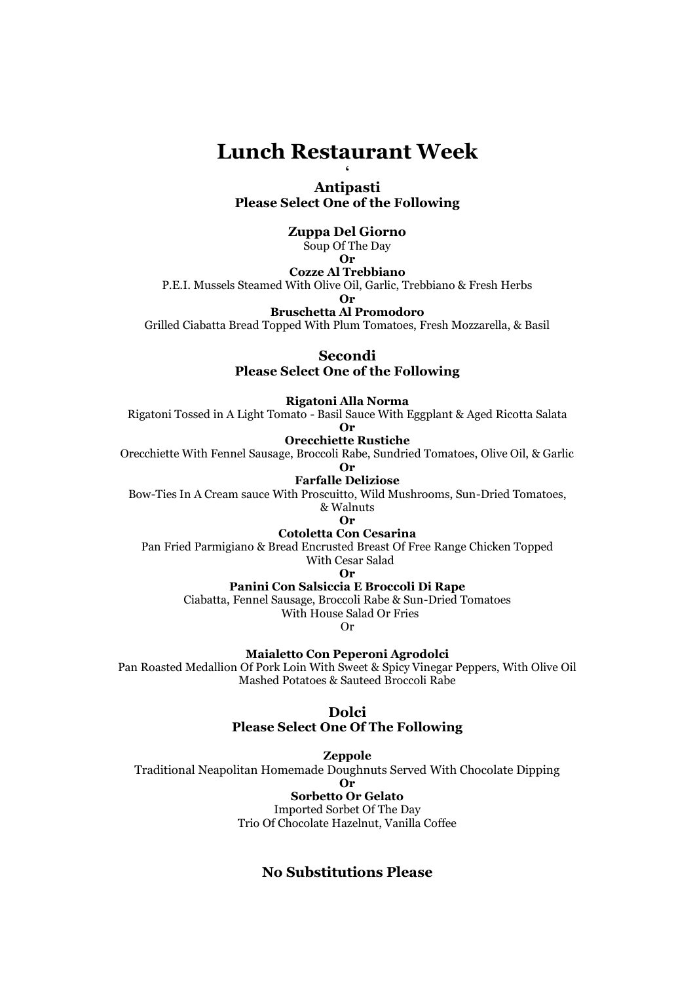**Lunch Restaurant Week '**

**Antipasti Please Select One of the Following**

**Zuppa Del Giorno** 

Soup Of The Day **Or**

**Cozze Al Trebbiano** 

P.E.I. Mussels Steamed With Olive Oil, Garlic, Trebbiano & Fresh Herbs

**Or**

**Bruschetta Al Promodoro** Grilled Ciabatta Bread Topped With Plum Tomatoes, Fresh Mozzarella, & Basil

**Secondi** 

**Please Select One of the Following**

**Rigatoni Alla Norma** 

Rigatoni Tossed in A Light Tomato - Basil Sauce With Eggplant & Aged Ricotta Salata

**Or**

**Orecchiette Rustiche**

Orecchiette With Fennel Sausage, Broccoli Rabe, Sundried Tomatoes, Olive Oil, & Garlic

**Or**

**Farfalle Deliziose**

Bow-Ties In A Cream sauce With Proscuitto, Wild Mushrooms, Sun-Dried Tomatoes,

& Walnuts **Or**

**Cotoletta Con Cesarina** 

Pan Fried Parmigiano & Bread Encrusted Breast Of Free Range Chicken Topped

With Cesar Salad

**Or**

**Panini Con Salsiccia E Broccoli Di Rape**

Ciabatta, Fennel Sausage, Broccoli Rabe & Sun-Dried Tomatoes With House Salad Or Fries

Or

**Maialetto Con Peperoni Agrodolci** 

Pan Roasted Medallion Of Pork Loin With Sweet & Spicy Vinegar Peppers, With Olive Oil Mashed Potatoes & Sauteed Broccoli Rabe

**Dolci**

**Please Select One Of The Following**

**Zeppole**

Traditional Neapolitan Homemade Doughnuts Served With Chocolate Dipping

**Or**

**Sorbetto Or Gelato** 

Imported Sorbet Of The Day Trio Of Chocolate Hazelnut, Vanilla Coffee

**No Substitutions Please**